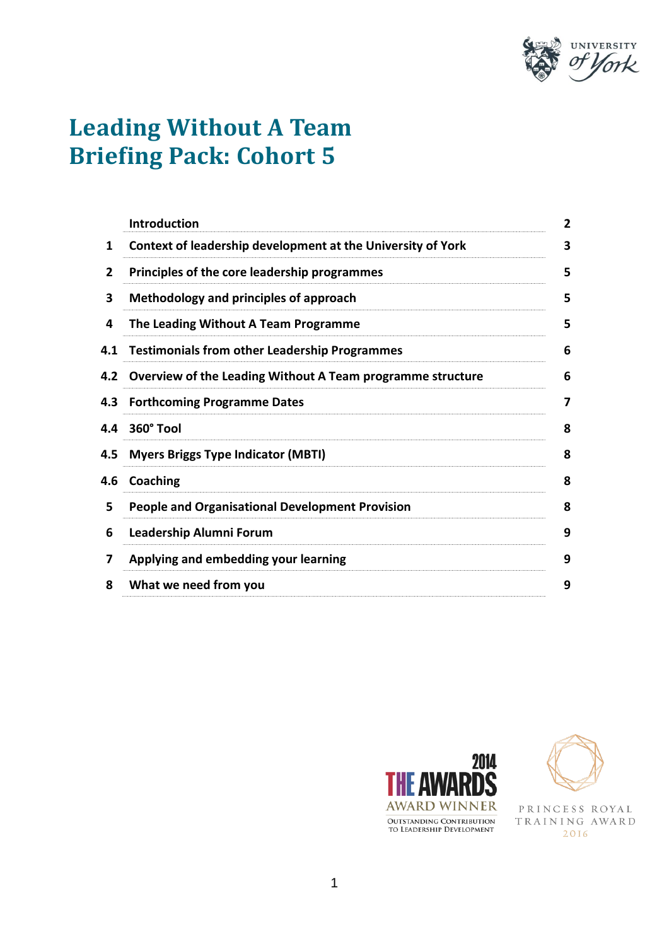

# **Leading Without A Team Briefing Pack: Cohort 5**

|     | <b>Introduction</b>                                            |  |
|-----|----------------------------------------------------------------|--|
| 1   | Context of leadership development at the University of York    |  |
| 2   | Principles of the core leadership programmes                   |  |
| 3   | Methodology and principles of approach                         |  |
| 4   | The Leading Without A Team Programme                           |  |
| 4.1 | <b>Testimonials from other Leadership Programmes</b>           |  |
|     | 4.2 Overview of the Leading Without A Team programme structure |  |
| 4.3 | <b>Forthcoming Programme Dates</b>                             |  |
| 4.4 | 360° Tool                                                      |  |
| 4.5 | <b>Myers Briggs Type Indicator (MBTI)</b>                      |  |
| 4.6 | Coaching                                                       |  |
| 5   | <b>People and Organisational Development Provision</b>         |  |
| 6   | Leadership Alumni Forum                                        |  |
| 7   | Applying and embedding your learning                           |  |
| 8   | What we need from you                                          |  |
|     |                                                                |  |





PRINCESS ROYAL TRAINING AWARD 2016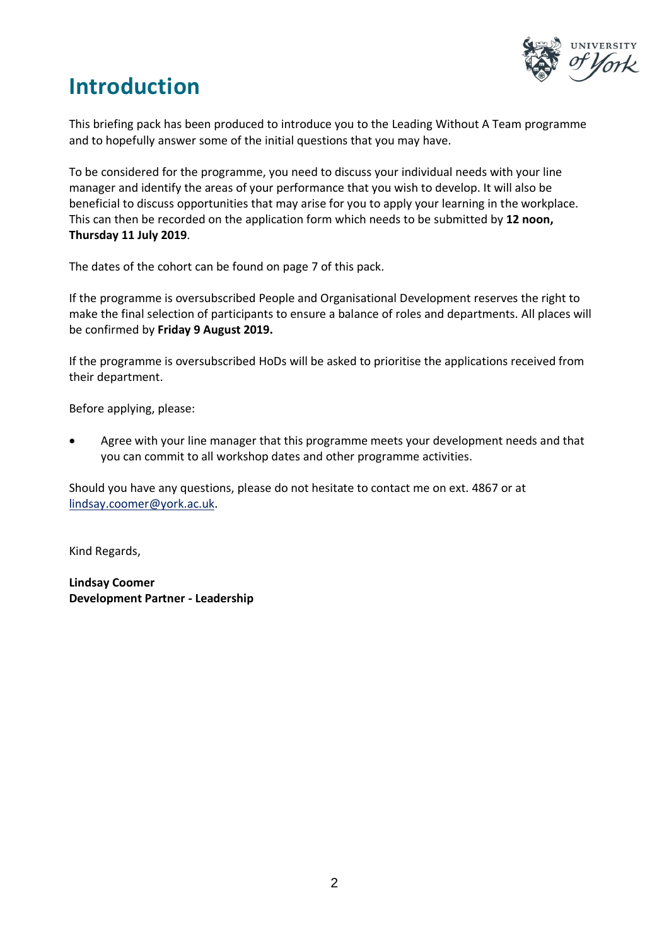

### **Introduction**

This briefing pack has been produced to introduce you to the Leading Without A Team programme and to hopefully answer some of the initial questions that you may have.

To be considered for the programme, you need to discuss your individual needs with your line manager and identify the areas of your performance that you wish to develop. It will also be beneficial to discuss opportunities that may arise for you to apply your learning in the workplace. This can then be recorded on the application form which needs to be submitted by **12 noon, Thursday 11 July 2019**.

The dates of the cohort can be found on page 7 of this pack.

If the programme is oversubscribed People and Organisational Development reserves the right to make the final selection of participants to ensure a balance of roles and departments. All places will be confirmed by **Friday 9 August 2019.**

If the programme is oversubscribed HoDs will be asked to prioritise the applications received from their department.

Before applying, please:

 Agree with your line manager that this programme meets your development needs and that you can commit to all workshop dates and other programme activities.

Should you have any questions, please do not hesitate to contact me on ext. 4867 or at lindsay.coomer@york.ac.uk.

Kind Regards,

**Lindsay Coomer Development Partner - Leadership**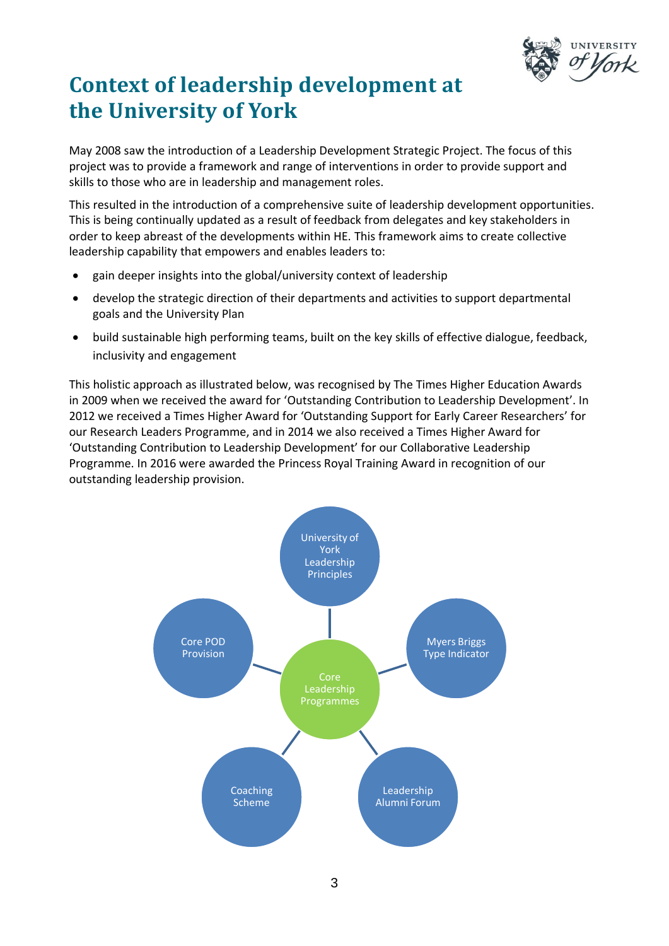

# **Context of leadership development at the University of York**

May 2008 saw the introduction of a Leadership Development Strategic Project. The focus of this project was to provide a framework and range of interventions in order to provide support and skills to those who are in leadership and management roles.

This resulted in the introduction of a comprehensive suite of leadership development opportunities. This is being continually updated as a result of feedback from delegates and key stakeholders in order to keep abreast of the developments within HE. This framework aims to create collective leadership capability that empowers and enables leaders to:

- gain deeper insights into the global/university context of leadership
- develop the strategic direction of their departments and activities to support departmental goals and the University Plan
- build sustainable high performing teams, built on the key skills of effective dialogue, feedback, inclusivity and engagement

This holistic approach as illustrated below, was recognised by The Times Higher Education Awards in 2009 when we received the award for 'Outstanding Contribution to Leadership Development'. In 2012 we received a Times Higher Award for 'Outstanding Support for Early Career Researchers' for our Research Leaders Programme, and in 2014 we also received a Times Higher Award for 'Outstanding Contribution to Leadership Development' for our Collaborative Leadership Programme. In 2016 were awarded the Princess Royal Training Award in recognition of our outstanding leadership provision.

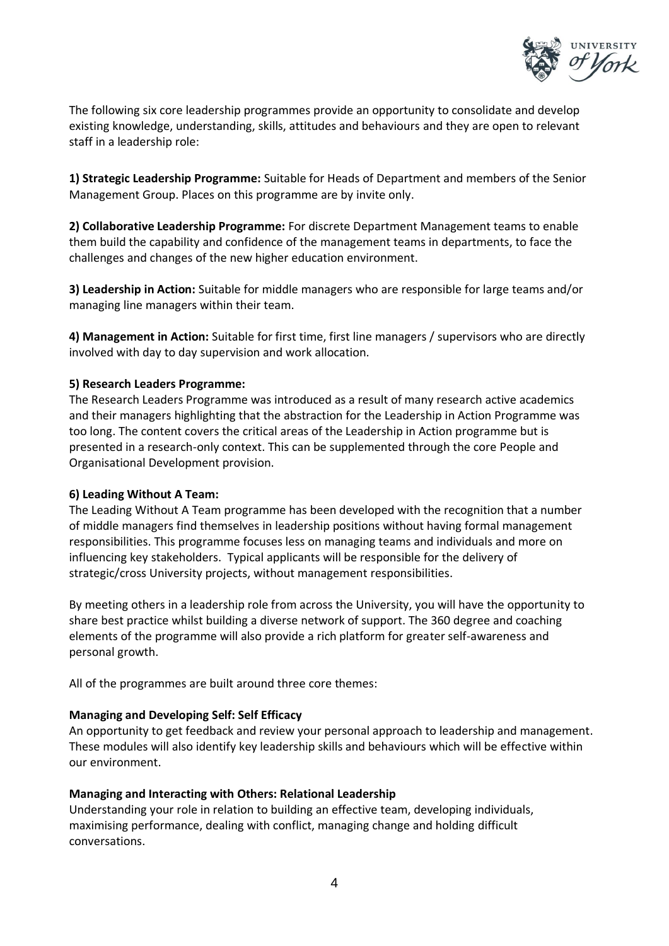

The following six core leadership programmes provide an opportunity to consolidate and develop existing knowledge, understanding, skills, attitudes and behaviours and they are open to relevant staff in a leadership role:

**1) Strategic Leadership Programme:** Suitable for Heads of Department and members of the Senior Management Group. Places on this programme are by invite only.

**2) Collaborative Leadership Programme:** For discrete Department Management teams to enable them build the capability and confidence of the management teams in departments, to face the challenges and changes of the new higher education environment.

**3) Leadership in Action:** Suitable for middle managers who are responsible for large teams and/or managing line managers within their team.

**4) Management in Action:** Suitable for first time, first line managers / supervisors who are directly involved with day to day supervision and work allocation.

#### **5) Research Leaders Programme:**

The Research Leaders Programme was introduced as a result of many research active academics and their managers highlighting that the abstraction for the Leadership in Action Programme was too long. The content covers the critical areas of the Leadership in Action programme but is presented in a research-only context. This can be supplemented through the core People and Organisational Development provision.

#### **6) Leading Without A Team:**

The Leading Without A Team programme has been developed with the recognition that a number of middle managers find themselves in leadership positions without having formal management responsibilities. This programme focuses less on managing teams and individuals and more on influencing key stakeholders. Typical applicants will be responsible for the delivery of strategic/cross University projects, without management responsibilities.

By meeting others in a leadership role from across the University, you will have the opportunity to share best practice whilst building a diverse network of support. The 360 degree and coaching elements of the programme will also provide a rich platform for greater self-awareness and personal growth.

All of the programmes are built around three core themes:

#### **Managing and Developing Self: Self Efficacy**

An opportunity to get feedback and review your personal approach to leadership and management. These modules will also identify key leadership skills and behaviours which will be effective within our environment.

#### **Managing and Interacting with Others: Relational Leadership**

Understanding your role in relation to building an effective team, developing individuals, maximising performance, dealing with conflict, managing change and holding difficult conversations.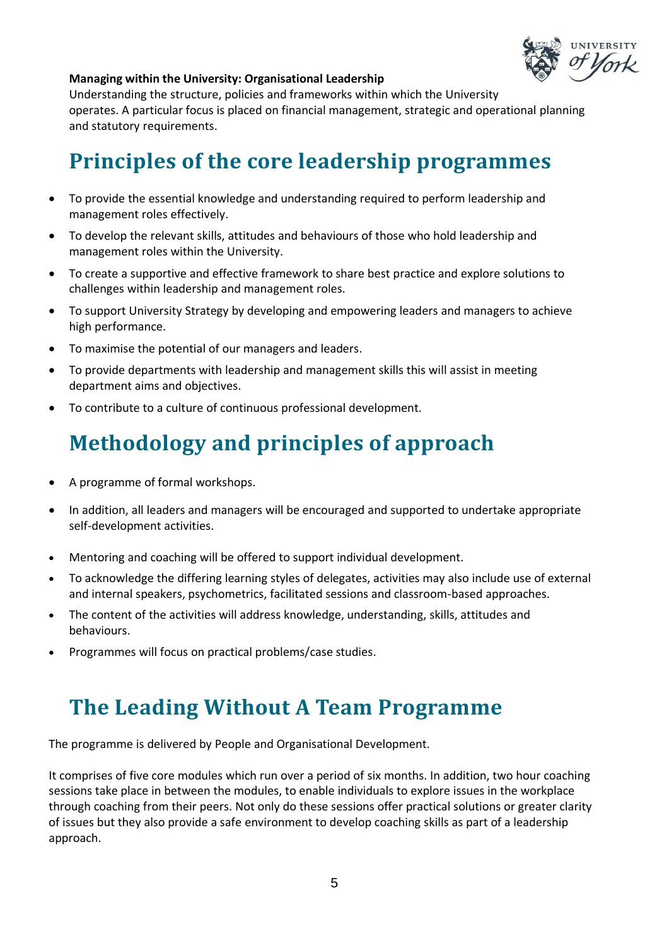

#### **Managing within the University: Organisational Leadership**

Understanding the structure, policies and frameworks within which the University operates. A particular focus is placed on financial management, strategic and operational planning and statutory requirements.

### **Principles of the core leadership programmes**

- To provide the essential knowledge and understanding required to perform leadership and management roles effectively.
- To develop the relevant skills, attitudes and behaviours of those who hold leadership and management roles within the University.
- To create a supportive and effective framework to share best practice and explore solutions to challenges within leadership and management roles.
- To support University Strategy by developing and empowering leaders and managers to achieve high performance.
- To maximise the potential of our managers and leaders.
- To provide departments with leadership and management skills this will assist in meeting department aims and objectives.
- To contribute to a culture of continuous professional development.

### **Methodology and principles of approach**

- A programme of formal workshops.
- In addition, all leaders and managers will be encouraged and supported to undertake appropriate self-development activities.
- Mentoring and coaching will be offered to support individual development.
- To acknowledge the differing learning styles of delegates, activities may also include use of external and internal speakers, psychometrics, facilitated sessions and classroom-based approaches.
- The content of the activities will address knowledge, understanding, skills, attitudes and behaviours.
- Programmes will focus on practical problems/case studies.

#### **The Leading Without A Team Programme**

The programme is delivered by People and Organisational Development.

It comprises of five core modules which run over a period of six months. In addition, two hour coaching sessions take place in between the modules, to enable individuals to explore issues in the workplace through coaching from their peers. Not only do these sessions offer practical solutions or greater clarity of issues but they also provide a safe environment to develop coaching skills as part of a leadership approach.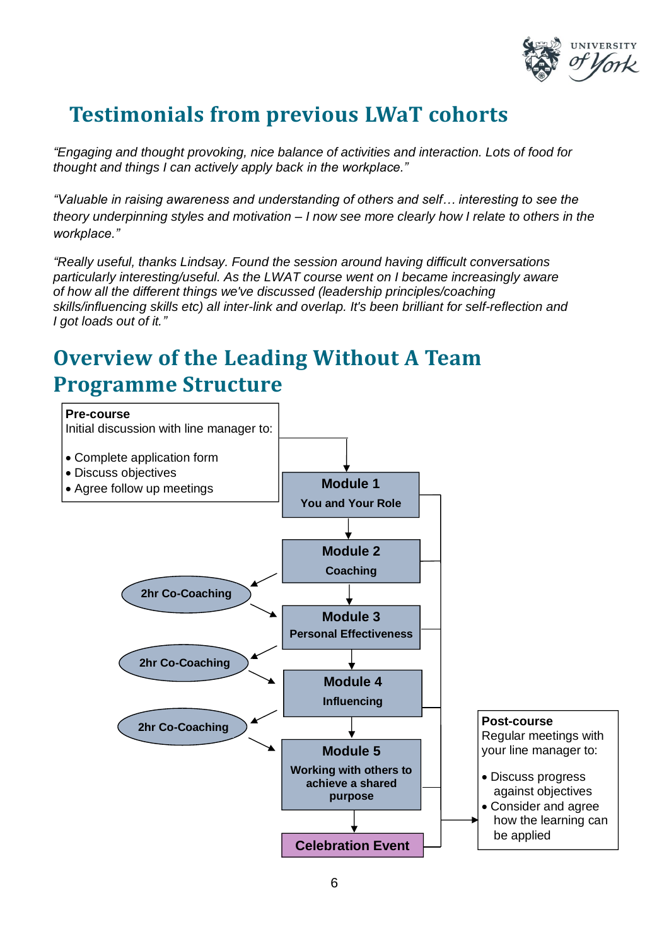

### **Testimonials from previous LWaT cohorts**

*"Engaging and thought provoking, nice balance of activities and interaction. Lots of food for thought and things I can actively apply back in the workplace."*

*"Valuable in raising awareness and understanding of others and self… interesting to see the theory underpinning styles and motivation – I now see more clearly how I relate to others in the workplace."*

*"Really useful, thanks Lindsay. Found the session around having difficult conversations particularly interesting/useful. As the LWAT course went on I became increasingly aware of how all the different things we've discussed (leadership principles/coaching skills/influencing skills etc) all inter-link and overlap. It's been brilliant for self-reflection and I got loads out of it."*

### **Overview of the Leading Without A Team Programme Structure**

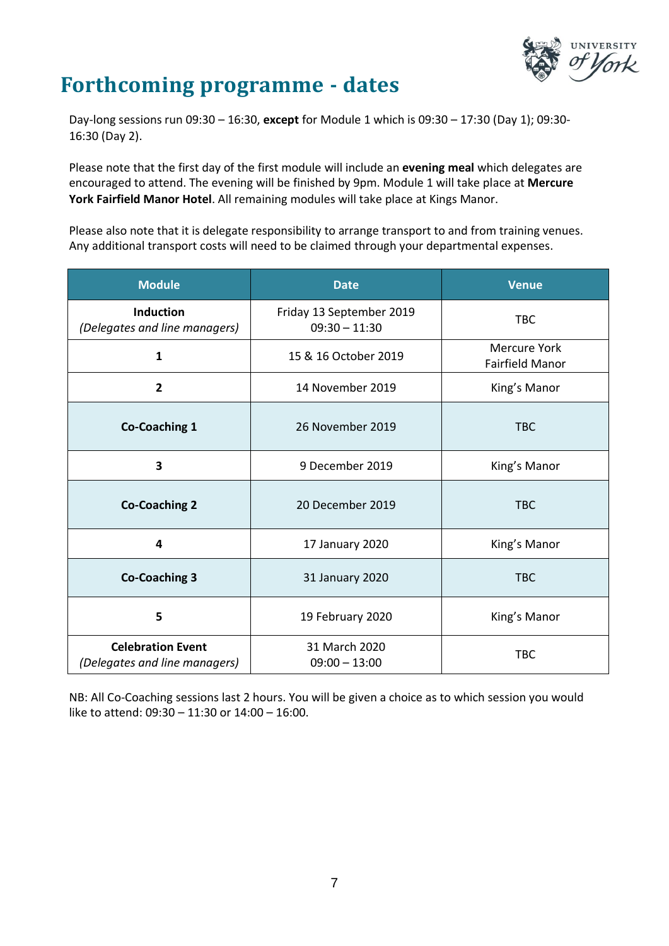

#### **Forthcoming programme - dates**

Day-long sessions run 09:30 – 16:30, **except** for Module 1 which is 09:30 – 17:30 (Day 1); 09:30- 16:30 (Day 2).

Please note that the first day of the first module will include an **evening meal** which delegates are encouraged to attend. The evening will be finished by 9pm. Module 1 will take place at **Mercure York Fairfield Manor Hotel**. All remaining modules will take place at Kings Manor.

Please also note that it is delegate responsibility to arrange transport to and from training venues. Any additional transport costs will need to be claimed through your departmental expenses.

| <b>Module</b>                                             | <b>Date</b>                                 | <b>Venue</b>                                  |  |
|-----------------------------------------------------------|---------------------------------------------|-----------------------------------------------|--|
| <b>Induction</b><br>(Delegates and line managers)         | Friday 13 September 2019<br>$09:30 - 11:30$ | <b>TBC</b>                                    |  |
| $\mathbf{1}$                                              | 15 & 16 October 2019                        | <b>Mercure York</b><br><b>Fairfield Manor</b> |  |
| $\overline{2}$                                            | 14 November 2019                            | King's Manor                                  |  |
| <b>Co-Coaching 1</b>                                      | 26 November 2019                            | <b>TBC</b>                                    |  |
| 3                                                         | 9 December 2019                             | King's Manor                                  |  |
| <b>Co-Coaching 2</b>                                      | 20 December 2019                            | <b>TBC</b>                                    |  |
| 4                                                         | 17 January 2020                             | King's Manor                                  |  |
| <b>Co-Coaching 3</b>                                      | 31 January 2020                             | <b>TBC</b>                                    |  |
| 5                                                         | 19 February 2020                            | King's Manor                                  |  |
| <b>Celebration Event</b><br>(Delegates and line managers) | 31 March 2020<br>$09:00 - 13:00$            | <b>TBC</b>                                    |  |

NB: All Co-Coaching sessions last 2 hours. You will be given a choice as to which session you would like to attend: 09:30 – 11:30 or 14:00 – 16:00.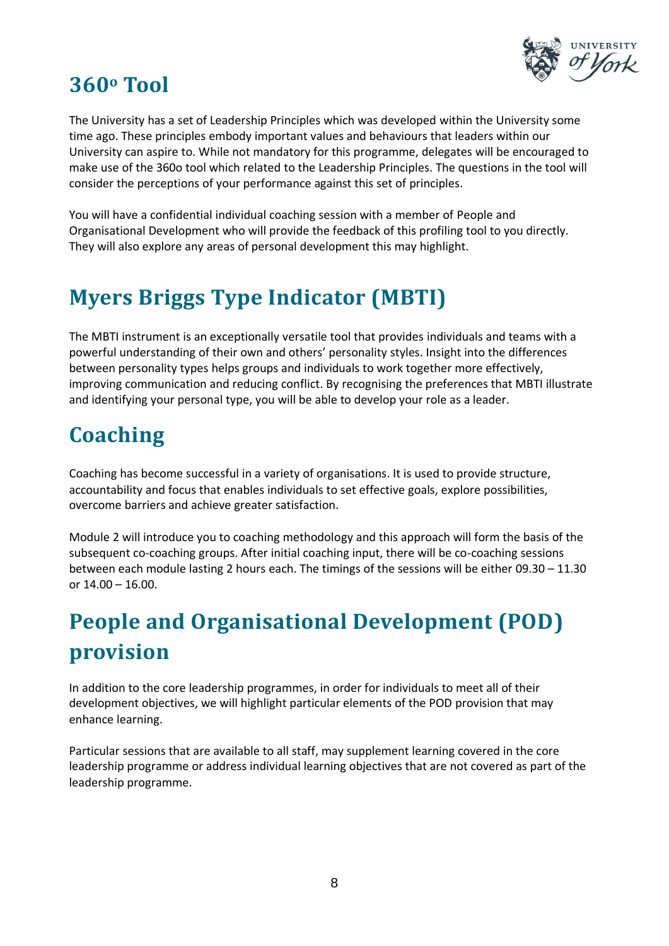

### **360<sup>o</sup> Tool**

The University has a set of Leadership Principles which was developed within the University some time ago. These principles embody important values and behaviours that leaders within our University can aspire to. While not mandatory for this programme, delegates will be encouraged to make use of the 360o tool which related to the Leadership Principles. The questions in the tool will consider the perceptions of your performance against this set of principles.

You will have a confidential individual coaching session with a member of People and Organisational Development who will provide the feedback of this profiling tool to you directly. They will also explore any areas of personal development this may highlight.

## **Myers Briggs Type Indicator (MBTI)**

The MBTI instrument is an exceptionally versatile tool that provides individuals and teams with a powerful understanding of their own and others' personality styles. Insight into the differences between personality types helps groups and individuals to work together more effectively, improving communication and reducing conflict. By recognising the preferences that MBTI illustrate and identifying your personal type, you will be able to develop your role as a leader.

## **Coaching**

Coaching has become successful in a variety of organisations. It is used to provide structure, accountability and focus that enables individuals to set effective goals, explore possibilities, overcome barriers and achieve greater satisfaction.

Module 2 will introduce you to coaching methodology and this approach will form the basis of the subsequent co-coaching groups. After initial coaching input, there will be co-coaching sessions between each module lasting 2 hours each. The timings of the sessions will be either 09.30 – 11.30 or 14.00 – 16.00.

# **People and Organisational Development (POD) provision**

In addition to the core leadership programmes, in order for individuals to meet all of their development objectives, we will highlight particular elements of the POD provision that may enhance learning.

Particular sessions that are available to all staff, may supplement learning covered in the core leadership programme or address individual learning objectives that are not covered as part of the leadership programme.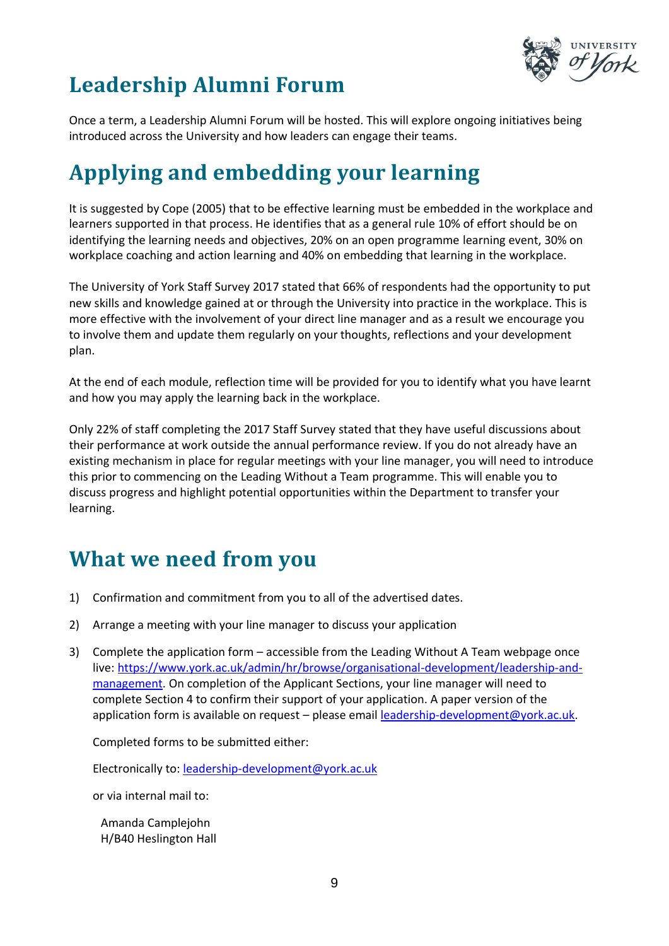

# **Leadership Alumni Forum**

Once a term, a Leadership Alumni Forum will be hosted. This will explore ongoing initiatives being introduced across the University and how leaders can engage their teams.

# **Applying and embedding your learning**

It is suggested by Cope (2005) that to be effective learning must be embedded in the workplace and learners supported in that process. He identifies that as a general rule 10% of effort should be on identifying the learning needs and objectives, 20% on an open programme learning event, 30% on workplace coaching and action learning and 40% on embedding that learning in the workplace.

The University of York Staff Survey 2017 stated that 66% of respondents had the opportunity to put new skills and knowledge gained at or through the University into practice in the workplace. This is more effective with the involvement of your direct line manager and as a result we encourage you to involve them and update them regularly on your thoughts, reflections and your development plan.

At the end of each module, reflection time will be provided for you to identify what you have learnt and how you may apply the learning back in the workplace.

Only 22% of staff completing the 2017 Staff Survey stated that they have useful discussions about their performance at work outside the annual performance review. If you do not already have an existing mechanism in place for regular meetings with your line manager, you will need to introduce this prior to commencing on the Leading Without a Team programme. This will enable you to discuss progress and highlight potential opportunities within the Department to transfer your learning.

#### **What we need from you**

- 1) Confirmation and commitment from you to all of the advertised dates.
- 2) Arrange a meeting with your line manager to discuss your application
- 3) Complete the application form accessible from the Leading Without A Team webpage once live: [https://www.york.ac.uk/admin/hr/browse/organisational-development/leadership-and](https://www.york.ac.uk/admin/hr/browse/organisational-development/leadership-and-management)[management.](https://www.york.ac.uk/admin/hr/browse/organisational-development/leadership-and-management) On completion of the Applicant Sections, your line manager will need to complete Section 4 to confirm their support of your application. A paper version of the application form is available on request – please email [leadership-development@york.ac.uk.](mailto:leadership-development@york.ac.uk)

Completed forms to be submitted either:

Electronically to: [leadership-development@york.ac.uk](mailto:leadership-development@york.ac.uk)

or via internal mail to:

Amanda Camplejohn H/B40 Heslington Hall